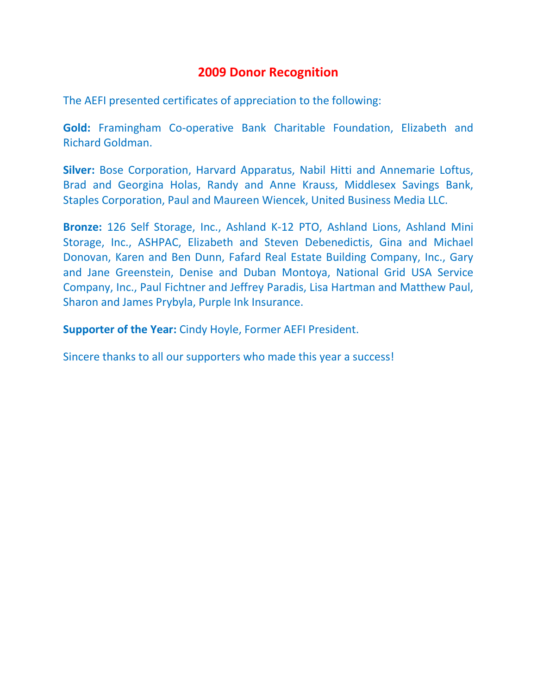## **2009 Donor Recognition**

The AEFI presented certificates of appreciation to the following:

**Gold:** Framingham Co-operative Bank Charitable Foundation, Elizabeth and Richard Goldman.

**Silver:** Bose Corporation, Harvard Apparatus, Nabil Hitti and Annemarie Loftus, Brad and Georgina Holas, Randy and Anne Krauss, Middlesex Savings Bank, Staples Corporation, Paul and Maureen Wiencek, United Business Media LLC.

**Bronze:** 126 Self Storage, Inc., Ashland K-12 PTO, Ashland Lions, Ashland Mini Storage, Inc., ASHPAC, Elizabeth and Steven Debenedictis, Gina and Michael Donovan, Karen and Ben Dunn, Fafard Real Estate Building Company, Inc., Gary and Jane Greenstein, Denise and Duban Montoya, National Grid USA Service Company, Inc., Paul Fichtner and Jeffrey Paradis, Lisa Hartman and Matthew Paul, Sharon and James Prybyla, Purple Ink Insurance.

**Supporter of the Year:** Cindy Hoyle, Former AEFI President.

Sincere thanks to all our supporters who made this year a success!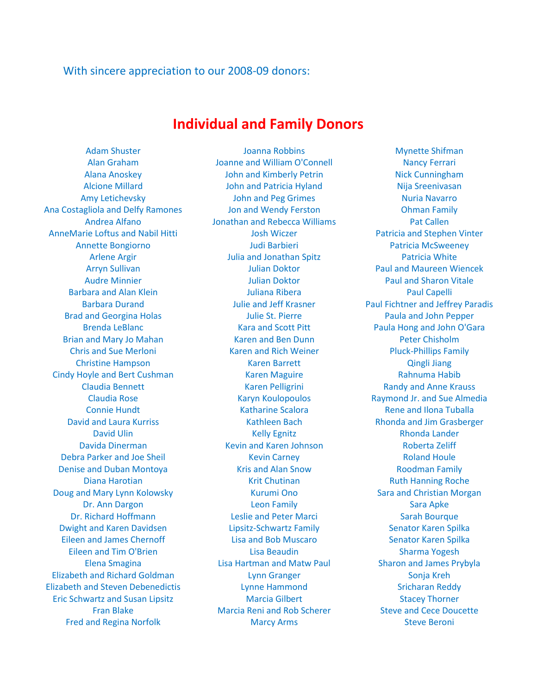## With sincere appreciation to our 2008-09 donors:

## **Individual and Family Donors**

Ana Costagliola and Delfy Ramones Jon and Wendy Ferston Ohman Family AnneMarie Loftus and Nabil Hitti **AnneMarie Loftus and Nabil Hitti** Josh Wiczer **Nabil Patricia and Stephen Vinter** Cindy Hoyle and Bert Cushman **Karen Maguire** Karen Maguire Rahnuma Habib Debra Parker and Joe Sheil **Kevin Carney Communist Communist Parker** Roland Houle Denise and Duban Montoya Kris and Alan Snow Roodman Family Doug and Mary Lynn Kolowsky **Kurumi Ono** Sara and Christian Morgan Dwight and Karen Davidsen **Lipsitz-Schwartz Family** Senator Karen Spilka Eileen and James Chernoff The Lisa and Bob Muscaro Senator Karen Spilka Elizabeth and Richard Goldman Lynn Granger Sonja Kreh Elizabeth and Steven Debenedictis Lynne Hammond Sricharan Reddy Eric Schwartz and Susan Lipsitz **Marcia Gilbert** Stacey Thorner

Adam Shuster **Music Community** Joanna Robbins **Mynette Shifman** Alan Graham Joanne and William O'Connell Nancy Ferrari Alana Anoskey John and Kimberly Petrin Nick Cunningham Alcione Millard **Nigality Common Accord John and Patricia Hyland Nigality Common Nija Sreenivasan** Amy Letichevsky **Markow Common American** John and Peg Grimes **Nuria Navarro** Nuria Navarro Andrea Alfano Jonathan and Rebecca Williams Pat Callen Annette Bongiorno Judi Barbieri Patricia McSweeney Arlene Argir **Arlene Arging Arlene Arging Community** Julia and Jonathan Spitz **Patricia White** Arryn Sullivan Julian Doktor Paul and Maureen Wiencek Audre Minnier **Number 2018 Julian Doktor** Paul and Sharon Vitale Barbara and Alan Klein **Paul Capelli** Juliana Ribera **Paul Capelli** Paul Capelli Barbara Durand **Markor Barbara Julie and Jeff Krasner** Paul Fichtner and Jeffrey Paradis Brad and Georgina Holas **Matter and Serverse Indianal Struck** Paula and John Pepper Brenda LeBlanc **Kara and Scott Pitt** Paula Hong and John O'Gara Brian and Mary Jo Mahan **Karen and Ben Dunn** Peter Chisholm Chris and Sue Merloni **Karen and Rich Weiner** Pluck-Phillips Family Christine Hampson Karen Barrett Qingli Jiang Claudia Bennett **Karen Pelligrini** Karen Pelligrini Randy and Anne Krauss Claudia Rose Karyn Koulopoulos Raymond Jr. and Sue Almedia Connie Hundt **Katharine Scalora** Rene and Ilona Tuballa David and Laura Kurriss **Kathleen Bach Rhonda and Jim Grasberger** Rhonda and Jim Grasberger David Ulin **Contract Contract Contract Contract Contract Contract Contract Contract Contract Contract Contract Contract Contract Contract Contract Contract Contract Contract Contract Contract Contract Contract Contract Con** Davida Dinerman Kevin and Karen Johnson Roberta Zeliff Diana Harotian **Marting Communist Chutinan** Ruth Hanning Roche Ruth Hanning Roche Dr. Ann Dargon **Sara Apkertage Communist Communist Leon Family** Sara Apkertage Communist Sara Apke Dr. Richard Hoffmann **Leslie and Peter Marci** Sarah Bourque Eileen and Tim O'Brien **Lisa Beaudin** Lisa Beaudin Sharma Yogesh Elena Smagina Lisa Hartman and Matw Paul Sharon and James Prybyla Fran Blake **Marcia Reni and Rob Scherer** Steve and Cece Doucette Fred and Regina Norfolk **Marcy Arms** Marcy Arms Steve Beroni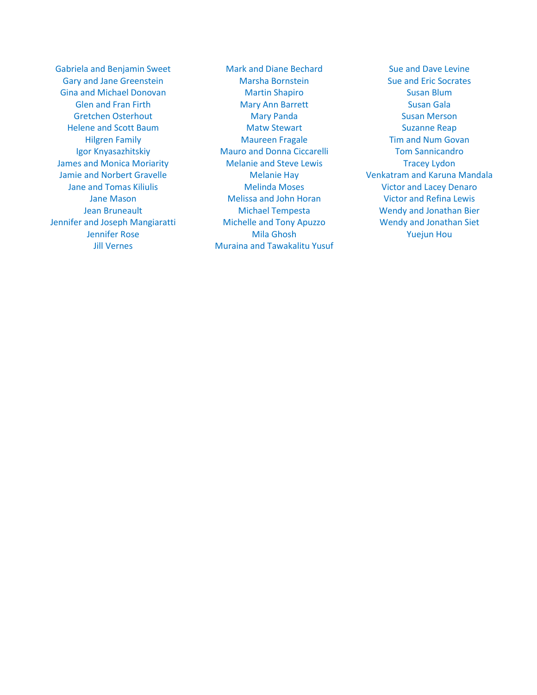Gabriela and Benjamin Sweet Mark and Diane Bechard Sue and Dave Levine Gary and Jane Greenstein **Marsha Bornstein** Sue and Eric Socrates Gina and Michael Donovan **Martin Shapiro** Martin Shapiro Susan Blum James and Monica Moriarity **Melanie and Steve Lewis** Tracey Lydon Jennifer and Joseph Mangiaratti Michelle and Tony Apuzzo Wendy and Jonathan Siet

Glen and Fran Firth **Mary Ann Barrett** Susan Gala Gretchen Osterhout **Mary Panda** Susan Merson Helene and Scott Baum and Suzanne Reap Matw Stewart Suzanne Reap Hilgren Family **Maureen Fragale** Tim and Num Govan Igor Knyasazhitskiy **Mauro and Donna Ciccarelli** Tom Sannicandro Jane and Tomas Kiliulis Melinda Moses Victor and Lacey Denaro Jane Mason **Melissa and John Horan** Victor and Refina Lewis Jean Bruneault Michael Tempesta Wendy and Jonathan Bier Jennifer Rose Mila Ghosh Yuejun Hou Jill Vernes **Muraina and Tawakalitu Yusuf** 

Jamie and Norbert Gravelle The Melanie Hay New Yenkatram and Karuna Mandala